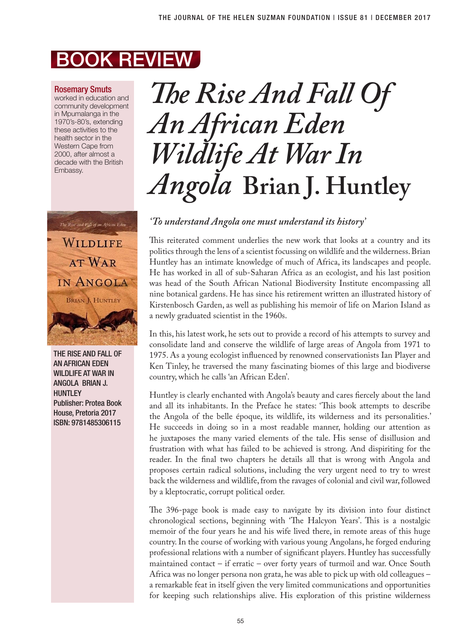## BOOK REVIEW

### Rosemary Smuts

worked in education and community development in Mpumalanga in the 1970's-80's, extending these activities to the health sector in the Western Cape from 2000, after almost a decade with the British Embassy.



THE RISE AND FALL OF AN AFRICAN EDEN WILDLIFE AT WAR IN ANGOLA BRIAN J. **HUNTLEY** Publisher: Protea Book House, Pretoria 2017 ISBN: 9781485306115

# *The Rise And Fall Of An African Eden Wildlife At War In Angola* **Brian J. Huntley**

### *'To understand Angola one must understand its history'*

This reiterated comment underlies the new work that looks at a country and its politics through the lens of a scientist focussing on wildlife and the wilderness. Brian Huntley has an intimate knowledge of much of Africa, its landscapes and people. He has worked in all of sub-Saharan Africa as an ecologist, and his last position was head of the South African National Biodiversity Institute encompassing all nine botanical gardens. He has since his retirement written an illustrated history of Kirstenbosch Garden, as well as publishing his memoir of life on Marion Island as a newly graduated scientist in the 1960s.

In this, his latest work, he sets out to provide a record of his attempts to survey and consolidate land and conserve the wildlife of large areas of Angola from 1971 to 1975. As a young ecologist influenced by renowned conservationists Ian Player and Ken Tinley, he traversed the many fascinating biomes of this large and biodiverse country, which he calls 'an African Eden'.

Huntley is clearly enchanted with Angola's beauty and cares fiercely about the land and all its inhabitants. In the Preface he states: 'This book attempts to describe the Angola of the belle époque, its wildlife, its wilderness and its personalities.' He succeeds in doing so in a most readable manner, holding our attention as he juxtaposes the many varied elements of the tale. His sense of disillusion and frustration with what has failed to be achieved is strong. And dispiriting for the reader. In the final two chapters he details all that is wrong with Angola and proposes certain radical solutions, including the very urgent need to try to wrest back the wilderness and wildlife, from the ravages of colonial and civil war, followed by a kleptocratic, corrupt political order.

The 396-page book is made easy to navigate by its division into four distinct chronological sections, beginning with 'The Halcyon Years'. This is a nostalgic memoir of the four years he and his wife lived there, in remote areas of this huge country. In the course of working with various young Angolans, he forged enduring professional relations with a number of significant players. Huntley has successfully maintained contact – if erratic – over forty years of turmoil and war. Once South Africa was no longer persona non grata, he was able to pick up with old colleagues – a remarkable feat in itself given the very limited communications and opportunities for keeping such relationships alive. His exploration of this pristine wilderness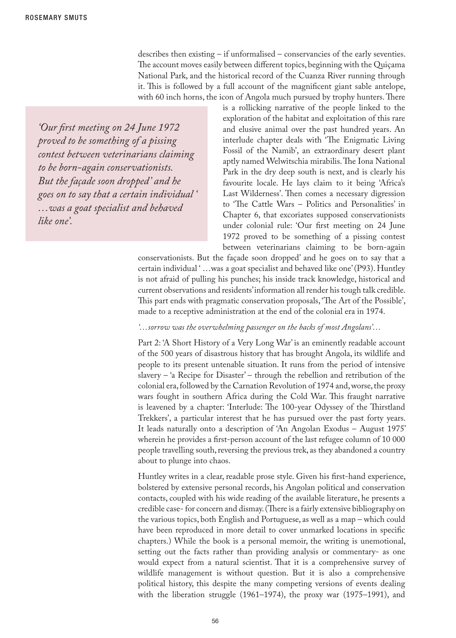describes then existing – if unformalised – conservancies of the early seventies. The account moves easily between different topics, beginning with the Quiçama National Park, and the historical record of the Cuanza River running through it. This is followed by a full account of the magnificent giant sable antelope, with 60 inch horns, the icon of Angola much pursued by trophy hunters. There

*'Our first meeting on 24 June 1972 proved to be something of a pissing contest between veterinarians claiming to be born-again conservationists. But the façade soon dropped' and he goes on to say that a certain individual ' …was a goat specialist and behaved like one'.*

is a rollicking narrative of the people linked to the exploration of the habitat and exploitation of this rare and elusive animal over the past hundred years. An interlude chapter deals with 'The Enigmatic Living Fossil of the Namib', an extraordinary desert plant aptly named Welwitschia mirabilis. The Iona National Park in the dry deep south is next, and is clearly his favourite locale. He lays claim to it being 'Africa's Last Wilderness'. Then comes a necessary digression to 'The Cattle Wars – Politics and Personalities' in Chapter 6, that excoriates supposed conservationists under colonial rule: 'Our first meeting on 24 June 1972 proved to be something of a pissing contest between veterinarians claiming to be born-again

conservationists. But the façade soon dropped' and he goes on to say that a certain individual ' …was a goat specialist and behaved like one' (P93). Huntley is not afraid of pulling his punches; his inside track knowledge, historical and current observations and residents' information all render his tough talk credible. This part ends with pragmatic conservation proposals, 'The Art of the Possible', made to a receptive administration at the end of the colonial era in 1974.

#### *'…sorrow was the overwhelming passenger on the backs of most Angolans'…*

Part 2: 'A Short History of a Very Long War' is an eminently readable account of the 500 years of disastrous history that has brought Angola, its wildlife and people to its present untenable situation. It runs from the period of intensive slavery – 'a Recipe for Disaster' – through the rebellion and retribution of the colonial era, followed by the Carnation Revolution of 1974 and, worse, the proxy wars fought in southern Africa during the Cold War. This fraught narrative is leavened by a chapter: 'Interlude: The 100-year Odyssey of the Thirstland Trekkers', a particular interest that he has pursued over the past forty years. It leads naturally onto a description of 'An Angolan Exodus – August 1975' wherein he provides a first-person account of the last refugee column of 10 000 people travelling south, reversing the previous trek, as they abandoned a country about to plunge into chaos.

Huntley writes in a clear, readable prose style. Given his first-hand experience, bolstered by extensive personal records, his Angolan political and conservation contacts, coupled with his wide reading of the available literature, he presents a credible case- for concern and dismay. (There is a fairly extensive bibliography on the various topics, both English and Portuguese, as well as a map – which could have been reproduced in more detail to cover unmarked locations in specific chapters.) While the book is a personal memoir, the writing is unemotional, setting out the facts rather than providing analysis or commentary- as one would expect from a natural scientist. That it is a comprehensive survey of wildlife management is without question. But it is also a comprehensive political history, this despite the many competing versions of events dealing with the liberation struggle (1961–1974), the proxy war (1975–1991), and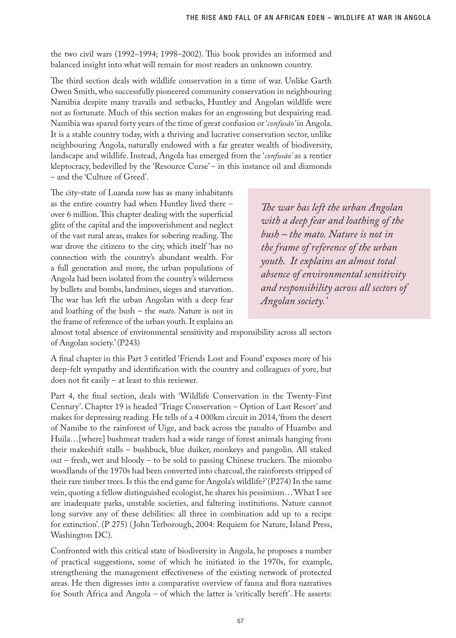the two civil wars (1992–1994; 1998–2002). This book provides an informed and balanced insight into what will remain for most readers an unknown country.

The third section deals with wildlife conservation in a time of war. Unlike Garth Owen Smith, who successfully pioneered community conservation in neighbouring Namibia despite many travails and setbacks, Huntley and Angolan wildlife were not as fortunate. Much of this section makes for an engrossing but despairing read. Namibia was spared forty years of the time of great confusion or '*confusāo'* in Angola. It is a stable country today, with a thriving and lucrative conservation sector, unlike neighbouring Angola, naturally endowed with a far greater wealth of biodiversity, landscape and wildlife. Instead, Angola has emerged from the '*confusāo'* as a rentier kleptocracy, bedevilled by the 'Resource Curse' – in this instance oil and diamonds – and the 'Culture of Greed'.

The city-state of Luanda now has as many inhabitants as the entire country had when Huntley lived there – over 6 million. This chapter dealing with the superficial glitz of the capital and the impoverishment and neglect of the vast rural areas, makes for sobering reading. The war drove the citizens to the city, which itself 'has no connection with the country's abundant wealth. For a full generation and more, the urban populations of Angola had been isolated from the country's wilderness by bullets and bombs, landmines, sieges and starvation. The war has left the urban Angolan with a deep fear and loathing of the bush – the *mato*. Nature is not in the frame of reference of the urban youth. It explains an

*The war has left the urban Angolan with a deep fear and loathing of the bush – the mato. Nature is not in the frame of reference of the urban youth. It explains an almost total absence of environmental sensitivity and responsibility across all sectors of Angolan society.'* 

almost total absence of environmental sensitivity and responsibility across all sectors of Angolan society.' (P243)

A final chapter in this Part 3 entitled 'Friends Lost and Found' exposes more of his deep-felt sympathy and identification with the country and colleagues of yore, but does not fit easily – at least to this reviewer.

Part 4, the final section, deals with 'Wildlife Conservation in the Twenty-First Century'. Chapter 19 is headed 'Triage Conservation – Option of Last Resort' and makes for depressing reading. He tells of a 4 000km circuit in 2014, 'from the desert of Namibe to the rainforest of Uige, and back across the panalto of Huambo and Huila…[where] bushmeat traders had a wide range of forest animals hanging from their makeshift stalls – bushbuck, blue duiker, monkeys and pangolin. All staked out – fresh, wet and bloody – to be sold to passing Chinese truckers. The miombo woodlands of the 1970s had been converted into charcoal, the rainforests stripped of their rare timber trees. Is this the end game for Angola's wildlife?' (P274) In the same vein, quoting a fellow distinguished ecologist, he shares his pessimism…'What I see are inadequate parks, unstable societies, and faltering institutions. Nature cannot long survive any of these debilities: all three in combination add up to a recipe for extinction'. (P 275) ( John Terborough, 2004: Requiem for Nature, Island Press, Washington DC).

Confronted with this critical state of biodiversity in Angola, he proposes a number of practical suggestions, some of which he initiated in the 1970s, for example, strengthening the management effectiveness of the existing network of protected areas. He then digresses into a comparative overview of fauna and flora narratives for South Africa and Angola – of which the latter is 'critically bereft'. He asserts: